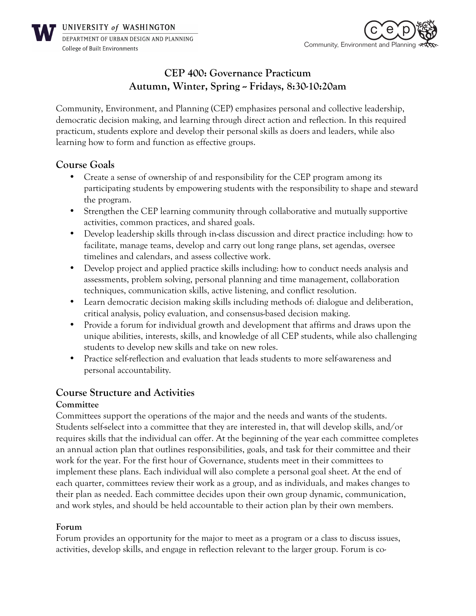

UNIVERSITY of WASHINGTON DEPARTMENT OF URBAN DESIGN AND PLANNING **College of Built Environments** 



# **CEP 400: Governance Practicum Autumn, Winter, Spring -- Fridays, 8:30-10:20am**

Community, Environment, and Planning (CEP) emphasizes personal and collective leadership, democratic decision making, and learning through direct action and reflection. In this required practicum, students explore and develop their personal skills as doers and leaders, while also learning how to form and function as effective groups.

## **Course Goals**

- Create a sense of ownership of and responsibility for the CEP program among its participating students by empowering students with the responsibility to shape and steward the program.
- Strengthen the CEP learning community through collaborative and mutually supportive activities, common practices, and shared goals.
- Develop leadership skills through in-class discussion and direct practice including: how to facilitate, manage teams, develop and carry out long range plans, set agendas, oversee timelines and calendars, and assess collective work.
- Develop project and applied practice skills including: how to conduct needs analysis and assessments, problem solving, personal planning and time management, collaboration techniques, communication skills, active listening, and conflict resolution.
- Learn democratic decision making skills including methods of: dialogue and deliberation, critical analysis, policy evaluation, and consensus-based decision making.
- Provide a forum for individual growth and development that affirms and draws upon the unique abilities, interests, skills, and knowledge of all CEP students, while also challenging students to develop new skills and take on new roles.
- Practice self-reflection and evaluation that leads students to more self-awareness and personal accountability.

# **Course Structure and Activities**

#### **Committee**

Committees support the operations of the major and the needs and wants of the students. Students self-select into a committee that they are interested in, that will develop skills, and/or requires skills that the individual can offer. At the beginning of the year each committee completes an annual action plan that outlines responsibilities, goals, and task for their committee and their work for the year. For the first hour of Governance, students meet in their committees to implement these plans. Each individual will also complete a personal goal sheet. At the end of each quarter, committees review their work as a group, and as individuals, and makes changes to their plan as needed. Each committee decides upon their own group dynamic, communication, and work styles, and should be held accountable to their action plan by their own members.

#### **Forum**

Forum provides an opportunity for the major to meet as a program or a class to discuss issues, activities, develop skills, and engage in reflection relevant to the larger group. Forum is co-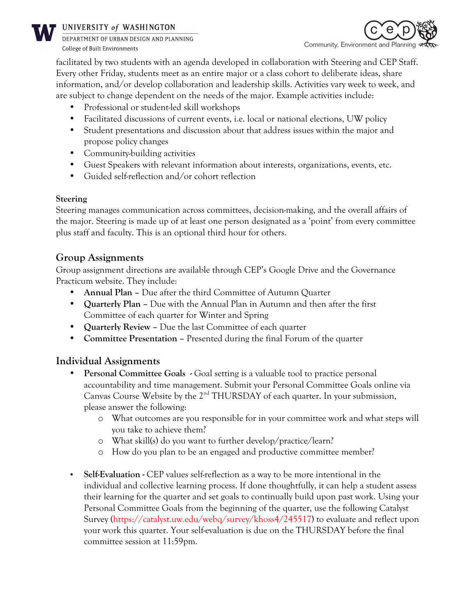

#### UNIVERSITY of WASHINGTON

DEPARTMENT OF URBAN DESIGN AND PLANNING **College of Built Environments** 



facilitated by two students with an agenda developed in collaboration with Steering and CEP Staff. Every other Friday, students meet as an entire major or a class cohort to deliberate ideas, share information, and/or develop collaboration and leadership skills. Activities vary week to week, and are subject to change dependent on the needs of the major. Example activities include:

- Professional or student-led skill workshops
- Facilitated discussions of current events, i.e. local or national elections, UW policy
- Student presentations and discussion about that address issues within the major and propose policy changes
- Community-building activities
- Guest Speakers with relevant information about interests, organizations, events, etc.
- Guided self-reflection and/or cohort reflection

### **Steering**

Steering manages communication across committees, decision-making, and the overall affairs of the major. Steering is made up of at least one person designated as a 'point' from every committee plus staff and faculty. This is an optional third hour for others.

# **Group Assignments**

Group assignment directions are available through CEP's Google Drive and the Governance Practicum website. They include:

- **Annual Plan –** Due after the third Committee of Autumn Quarter
- **Quarterly Plan –** Due with the Annual Plan in Autumn and then after the first Committee of each quarter for Winter and Spring
- **Quarterly Review –** Due the last Committee of each quarter
- **Committee Presentation –** Presented during the final Forum of the quarter

# **Individual Assignments**

- **Personal Committee Goals -** Goal setting is a valuable tool to practice personal accountability and time management. Submit your Personal Committee Goals online via Canvas Course Website by the  $2<sup>nd</sup> THURSDAY$  of each quarter. In your submission, please answer the following:
	- o What outcomes are you responsible for in your committee work and what steps will you take to achieve them?
	- o What skill(s) do you want to further develop/practice/learn?
	- o How do you plan to be an engaged and productive committee member?
- **Self-Evaluation -** CEP values self-reflection as a way to be more intentional in the individual and collective learning process. If done thoughtfully, it can help a student assess their learning for the quarter and set goals to continually build upon past work. Using your Personal Committee Goals from the beginning of the quarter, use the following Catalyst Survey (https://catalyst.uw.edu/webq/survey/khoss4/245517) to evaluate and reflect upon your work this quarter. Your self-evaluation is due on the THURSDAY before the final committee session at 11:59pm.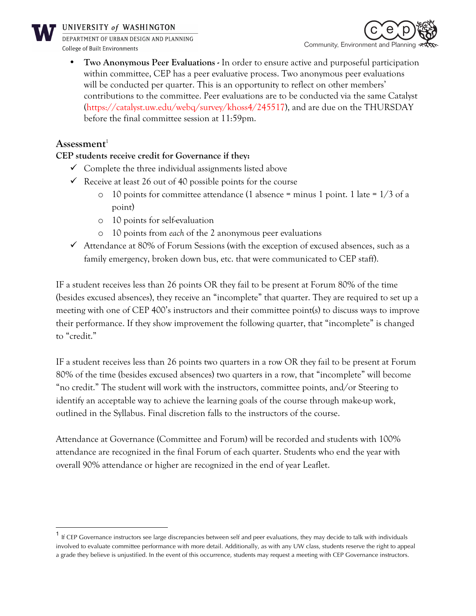

#### UNIVERSITY of WASHINGTON

DEPARTMENT OF URBAN DESIGN AND PLANNING **College of Built Environments** 



• **Two Anonymous Peer Evaluations -** In order to ensure active and purposeful participation within committee, CEP has a peer evaluative process. Two anonymous peer evaluations will be conducted per quarter. This is an opportunity to reflect on other members' contributions to the committee. Peer evaluations are to be conducted via the same Catalyst (https://catalyst.uw.edu/webq/survey/khoss4/245517), and are due on the THURSDAY before the final committee session at 11:59pm.

### **Assessment**<sup>1</sup>

### **CEP students receive credit for Governance if they:**

- $\checkmark$  Complete the three individual assignments listed above
- Receive at least 26 out of 40 possible points for the course
	- $\circ$  10 points for committee attendance (1 absence = minus 1 point. 1 late = 1/3 of a point)
	- o 10 points for self-evaluation
	- o 10 points from *each* of the 2 anonymous peer evaluations
- $\checkmark$  Attendance at 80% of Forum Sessions (with the exception of excused absences, such as a family emergency, broken down bus, etc. that were communicated to CEP staff).

IF a student receives less than 26 points OR they fail to be present at Forum 80% of the time (besides excused absences), they receive an "incomplete" that quarter. They are required to set up a meeting with one of CEP 400's instructors and their committee point(s) to discuss ways to improve their performance. If they show improvement the following quarter, that "incomplete" is changed to "credit."

IF a student receives less than 26 points two quarters in a row OR they fail to be present at Forum 80% of the time (besides excused absences) two quarters in a row, that "incomplete" will become "no credit." The student will work with the instructors, committee points, and/or Steering to identify an acceptable way to achieve the learning goals of the course through make-up work, outlined in the Syllabus. Final discretion falls to the instructors of the course.

Attendance at Governance (Committee and Forum) will be recorded and students with 100% attendance are recognized in the final Forum of each quarter. Students who end the year with overall 90% attendance or higher are recognized in the end of year Leaflet.

 $1$  If CEP Governance instructors see large discrepancies between self and peer evaluations, they may decide to talk with individuals involved to evaluate committee performance with more detail. Additionally, as with any UW class, students reserve the right to appeal a grade they believe is unjustified. In the event of this occurrence, students may request a meeting with CEP Governance instructors.